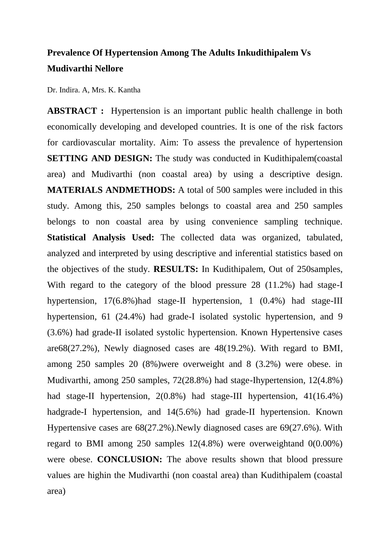## **Prevalence Of Hypertension Among The Adults Inkudithipalem Vs Mudivarthi Nellore**

Dr. Indira. A, Mrs. K. Kantha

**ABSTRACT :** Hypertension is an important public health challenge in both economically developing and developed countries. It is one of the risk factors for cardiovascular mortality. Aim: To assess the prevalence of hypertension **SETTING** AND DESIGN: The study was conducted in Kudithipalem (coastal) area) and Mudivarthi (non coastal area) by using a descriptive design. **MATERIALS ANDMETHODS:** A total of 500 samples were included in this study. Among this, 250 samples belongs to coastal area and 250 samples belongs to non coastal area by using convenience sampling technique. **Statistical Analysis Used:** The collected data was organized, tabulated, analyzed and interpreted by using descriptive and inferential statistics based on the objectives of the study. **RESULTS:** In Kudithipalem, Out of 250samples, With regard to the category of the blood pressure 28 (11.2%) had stage-I hypertension, 17(6.8%)had stage-II hypertension, 1 (0.4%) had stage-III hypertension, 61 (24.4%) had grade-I isolated systolic hypertension, and 9 (3.6%) had grade-II isolated systolic hypertension. Known Hypertensive cases are68(27.2%), Newly diagnosed cases are 48(19.2%). With regard to BMI, among 250 samples 20 (8%)were overweight and 8 (3.2%) were obese. in Mudivarthi, among 250 samples, 72(28.8%) had stage-Ihypertension, 12(4.8%) had stage-II hypertension, 2(0.8%) had stage-III hypertension, 41(16.4%) hadgrade-I hypertension, and 14(5.6%) had grade-II hypertension. Known Hypertensive cases are 68(27.2%).Newly diagnosed cases are 69(27.6%). With regard to BMI among 250 samples 12(4.8%) were overweightand 0(0.00%) were obese. **CONCLUSION:** The above results shown that blood pressure values are highin the Mudivarthi (non coastal area) than Kudithipalem (coastal area)